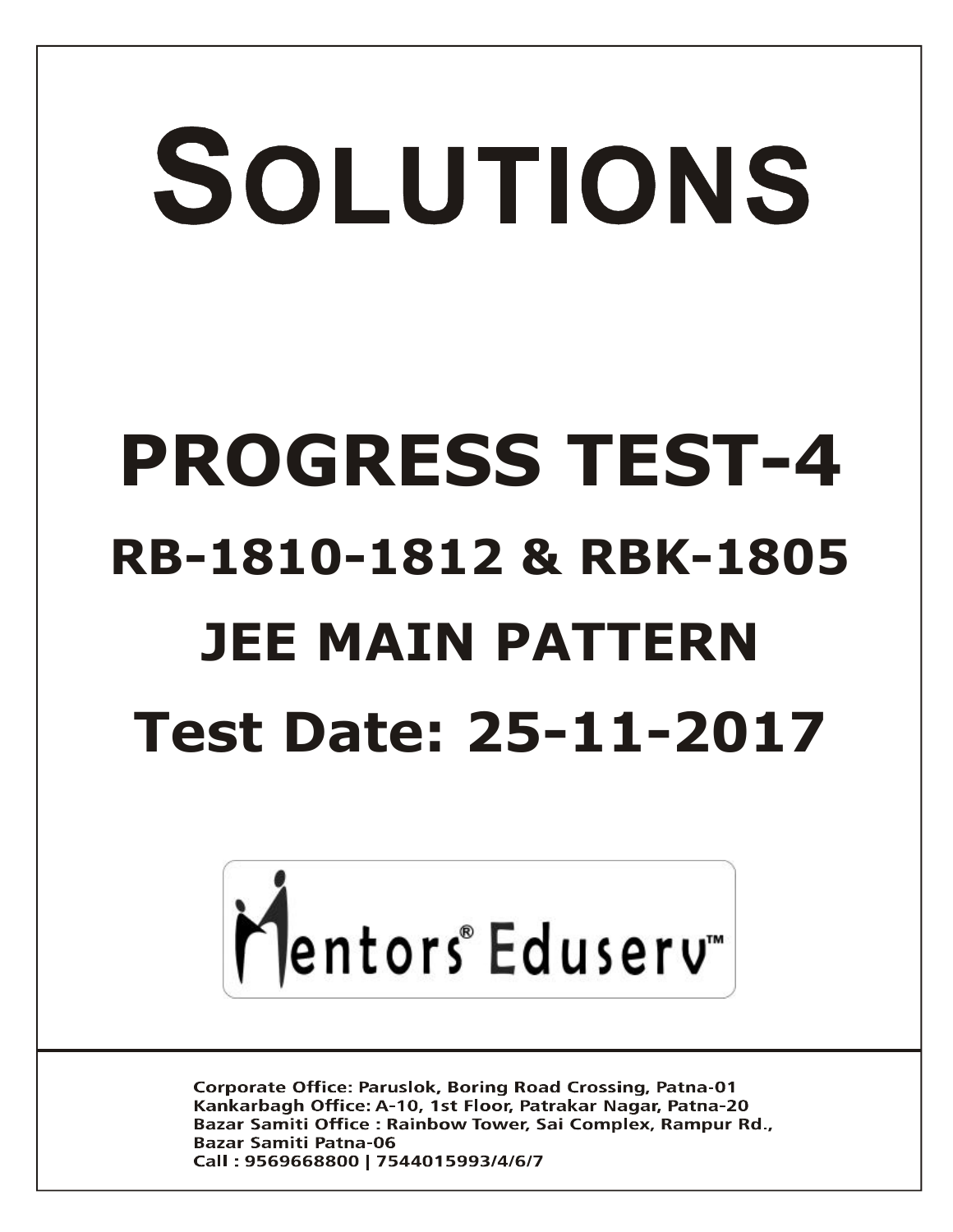# SOLUTIONS **PROGRESS TEST-4 RB-1810-1812 & RBK-1805 JEE MAIN PATTERN Test Date: 25-11-2017**



**Corporate Office: Paruslok, Boring Road Crossing, Patna-01** Kankarbagh Office: A-10, 1st Floor, Patrakar Nagar, Patna-20 Bazar Samiti Office: Rainbow Tower, Sai Complex, Rampur Rd., **Bazar Samiti Patna-06** Call: 9569668800 | 7544015993/4/6/7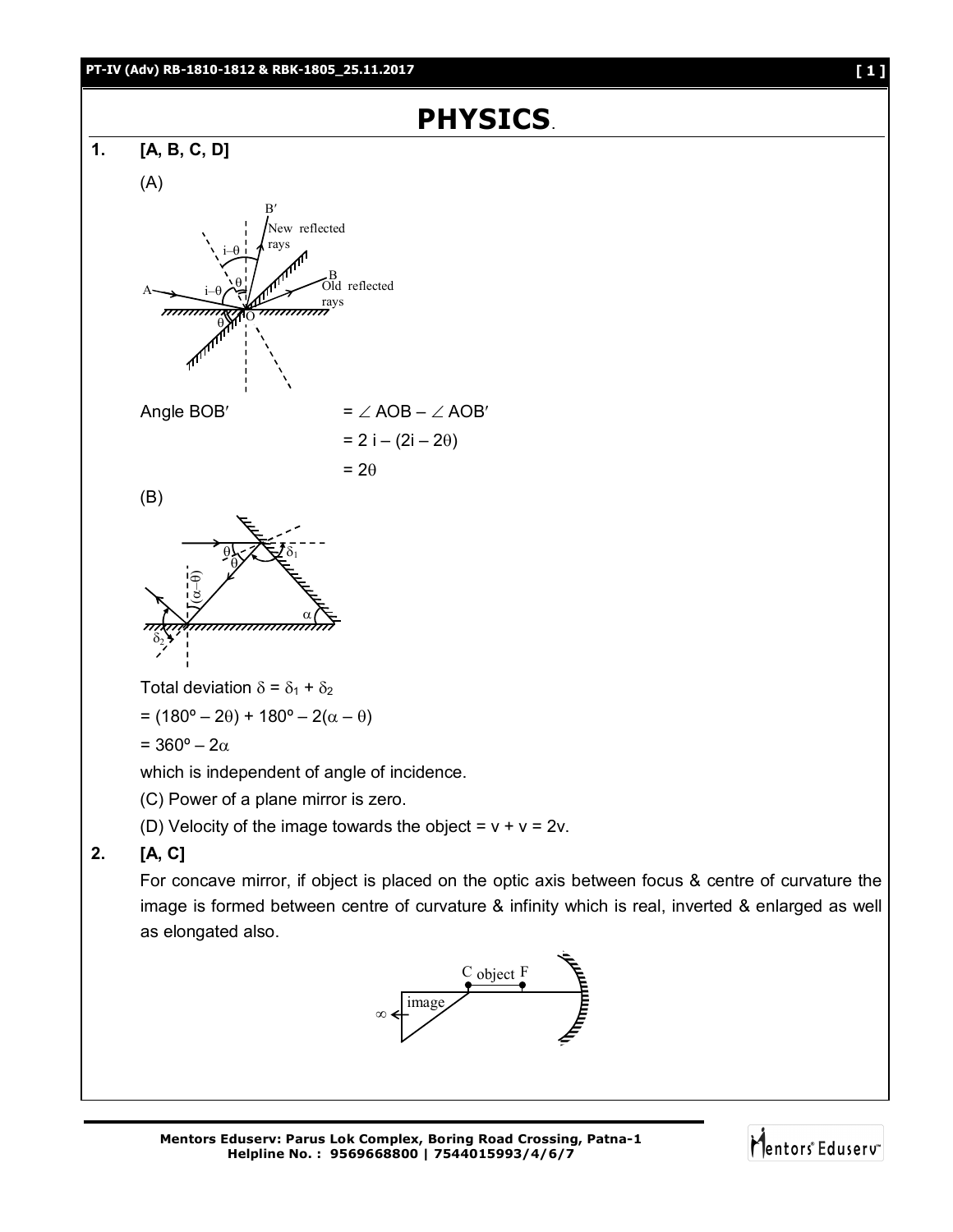## **PT-IV (Adv) RB-1810-1812 & RBK-1805\_25.11.2017 [ 1 ]**

# **PHYSICS**.







Total deviation  $\delta = \delta_1 + \delta_2$ 

$$
= (180^{\circ} - 2\theta) + 180^{\circ} - 2(\alpha - \theta)
$$

$$
=360^{\circ}-2\alpha
$$

which is independent of angle of incidence.

- (C) Power of a plane mirror is zero.
- (D) Velocity of the image towards the object =  $v + v = 2v$ .

## **2. [A, C]**

For concave mirror, if object is placed on the optic axis between focus & centre of curvature the image is formed between centre of curvature & infinity which is real, inverted & enlarged as well as elongated also.



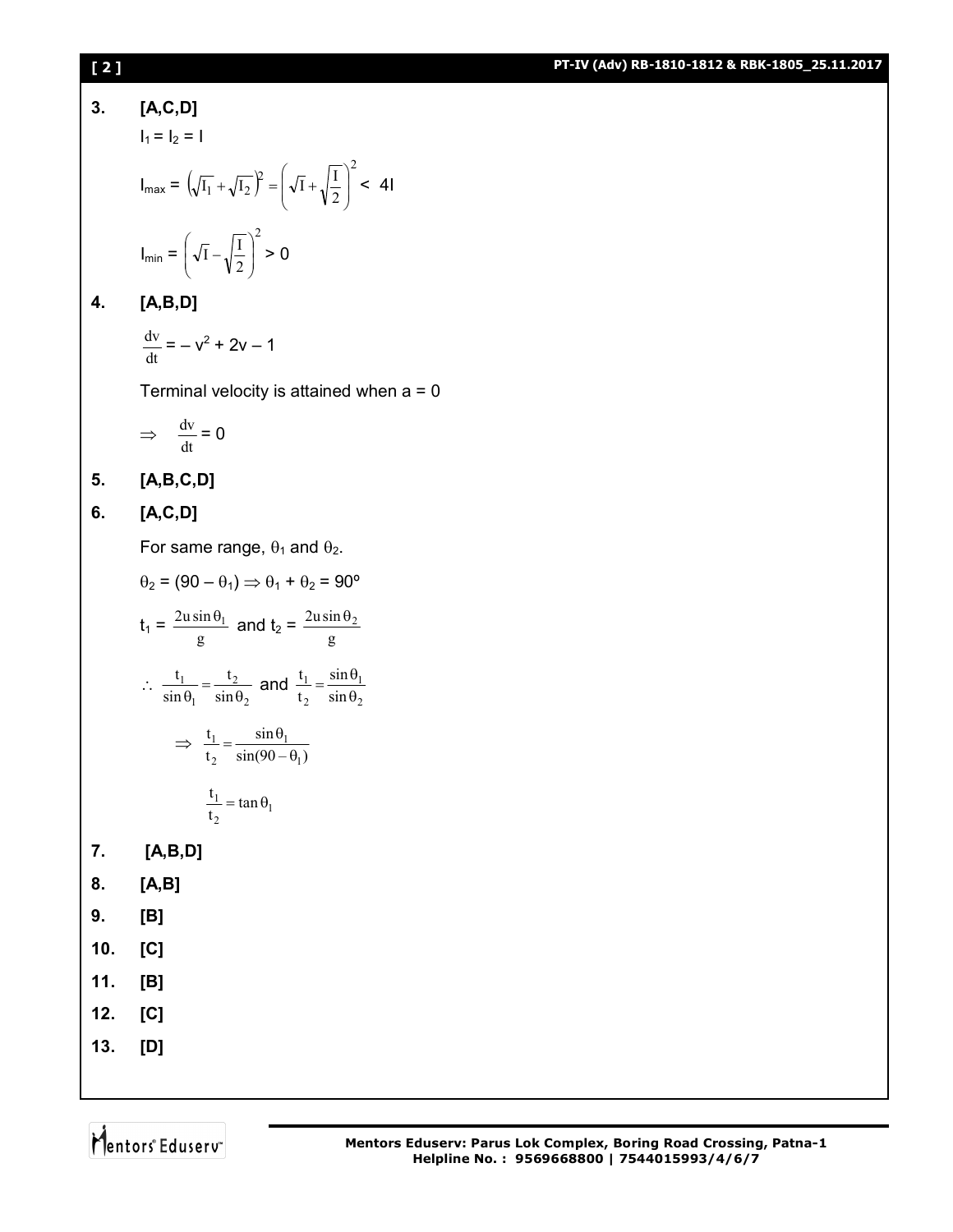## **[ 2 ] PT-IV (Adv) RB-1810-1812 & RBK-1805\_25.11.2017**

## **3. [A,C,D]**

 $I_1 = I_2 = I$ 

$$
I_{\text{max}} = \left(\sqrt{I_1} + \sqrt{I_2}\right)^2 = \left(\sqrt{I} + \sqrt{\frac{I}{2}}\right)^2 < 4I
$$
  

$$
I_{\text{min}} = \left(\sqrt{I} - \sqrt{\frac{I}{2}}\right)^2 > 0
$$

**4. [A,B,D]**

$$
\frac{\mathrm{d}v}{\mathrm{d}t} = -v^2 + 2v - 1
$$

Terminal velocity is attained when  $a = 0$ 

$$
\Rightarrow \quad \frac{\mathrm{d}v}{\mathrm{d}t} = 0
$$

## **5. [A,B,C,D]**

## **6. [A,C,D]**

For same range,  $\theta_1$  and  $\theta_2$ .

$$
\theta_2 = (90 - \theta_1) \Rightarrow \theta_1 + \theta_2 = 90^\circ
$$
  
\n
$$
t_1 = \frac{2u \sin \theta_1}{g} \text{ and } t_2 = \frac{2u \sin \theta_2}{g}
$$
  
\n
$$
\therefore \frac{t_1}{\sin \theta_1} = \frac{t_2}{\sin \theta_2} \text{ and } \frac{t_1}{t_2} = \frac{\sin \theta_1}{\sin \theta_2}
$$
  
\n
$$
\Rightarrow \frac{t_1}{t_2} = \frac{\sin \theta_1}{\sin(90 - \theta_1)}
$$
  
\n
$$
\frac{t_1}{t_2} = \tan \theta_1
$$

- **7. [A,B,D]**
- **8. [A,B]**
- **9. [B]**
- **10. [C]**
- **11. [B]**
- **12. [C]**
- **13. [D]**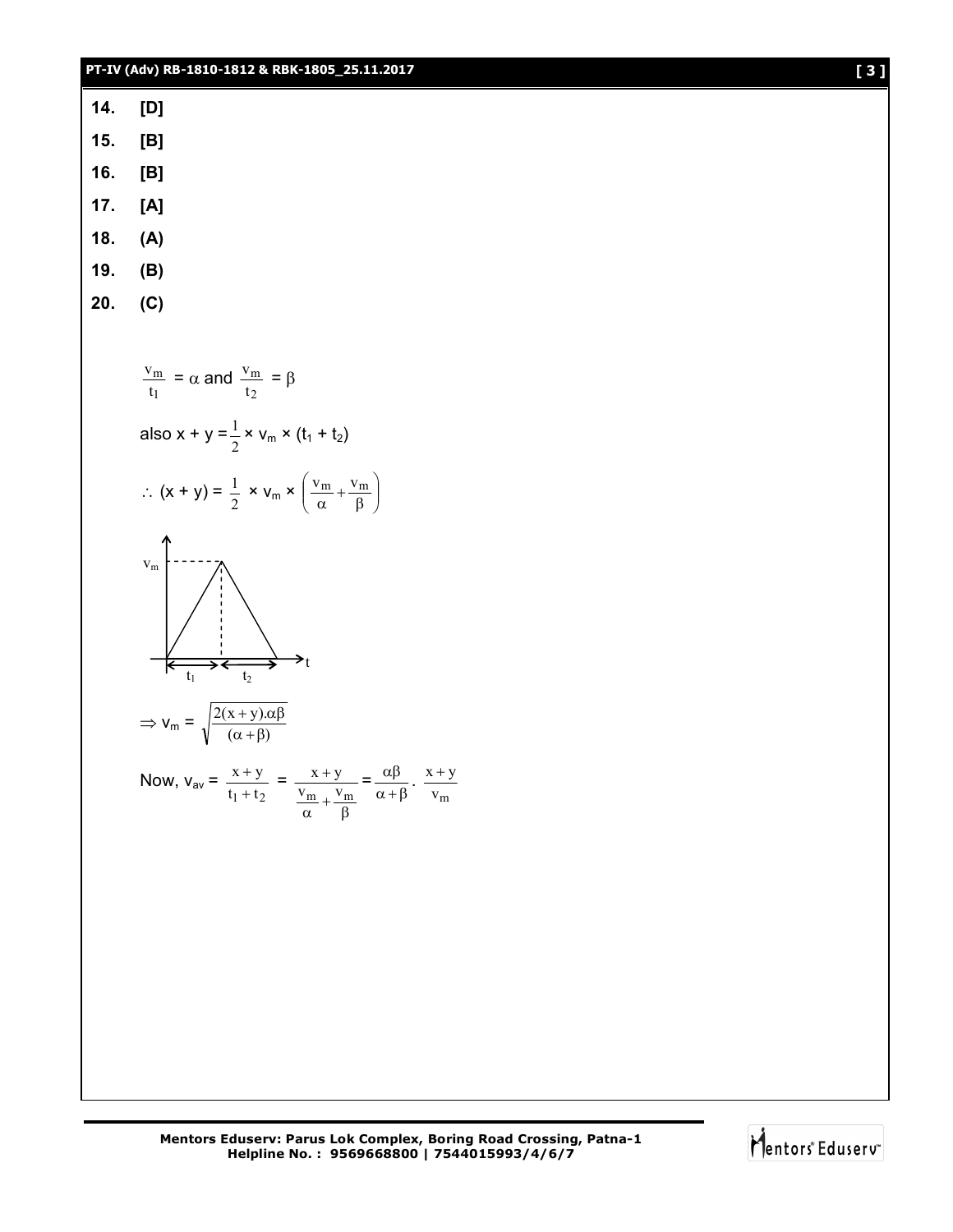|     | PT-IV (Adv) RB-1810-1812 & RBK-1805_25.11.2017                                                                                                    | [3] |
|-----|---------------------------------------------------------------------------------------------------------------------------------------------------|-----|
| 14. | [D]                                                                                                                                               |     |
| 15. | [B]                                                                                                                                               |     |
| 16. | [B]                                                                                                                                               |     |
| 17. | [A]                                                                                                                                               |     |
| 18. | (A)                                                                                                                                               |     |
| 19. | (B)                                                                                                                                               |     |
| 20. | (C)                                                                                                                                               |     |
|     |                                                                                                                                                   |     |
|     | $\frac{v_m}{t_1} = \alpha$ and $\frac{v_m}{t_2} = \beta$                                                                                          |     |
|     | also x + y = $\frac{1}{2}$ x v <sub>m</sub> x (t <sub>1</sub> + t <sub>2</sub> )                                                                  |     |
|     | $\therefore$ (x + y) = $\frac{1}{2}$ × v <sub>m</sub> × $\left(\frac{v_m}{\alpha} + \frac{v_m}{\beta}\right)$                                     |     |
|     | ሳ<br>$\mathbf{v}_{\mathbf{m}}$<br>$\rightarrow_t$<br>₹<br>┡<br>$t_2$<br>$\overline{t_1}$                                                          |     |
|     | $\Rightarrow$ $v_m = \sqrt{\frac{2(x+y)\alpha\beta}{(\alpha+\beta)}}$                                                                             |     |
|     | Now, $v_{av} = \frac{x+y}{t_1+t_2} = \frac{x+y}{\frac{v_m}{\alpha} + \frac{v_m}{\beta}} = \frac{\alpha\beta}{\alpha+\beta} \cdot \frac{x+y}{v_m}$ |     |
|     |                                                                                                                                                   |     |
|     |                                                                                                                                                   |     |
|     |                                                                                                                                                   |     |
|     |                                                                                                                                                   |     |
|     |                                                                                                                                                   |     |
|     |                                                                                                                                                   |     |
|     |                                                                                                                                                   |     |
|     |                                                                                                                                                   |     |

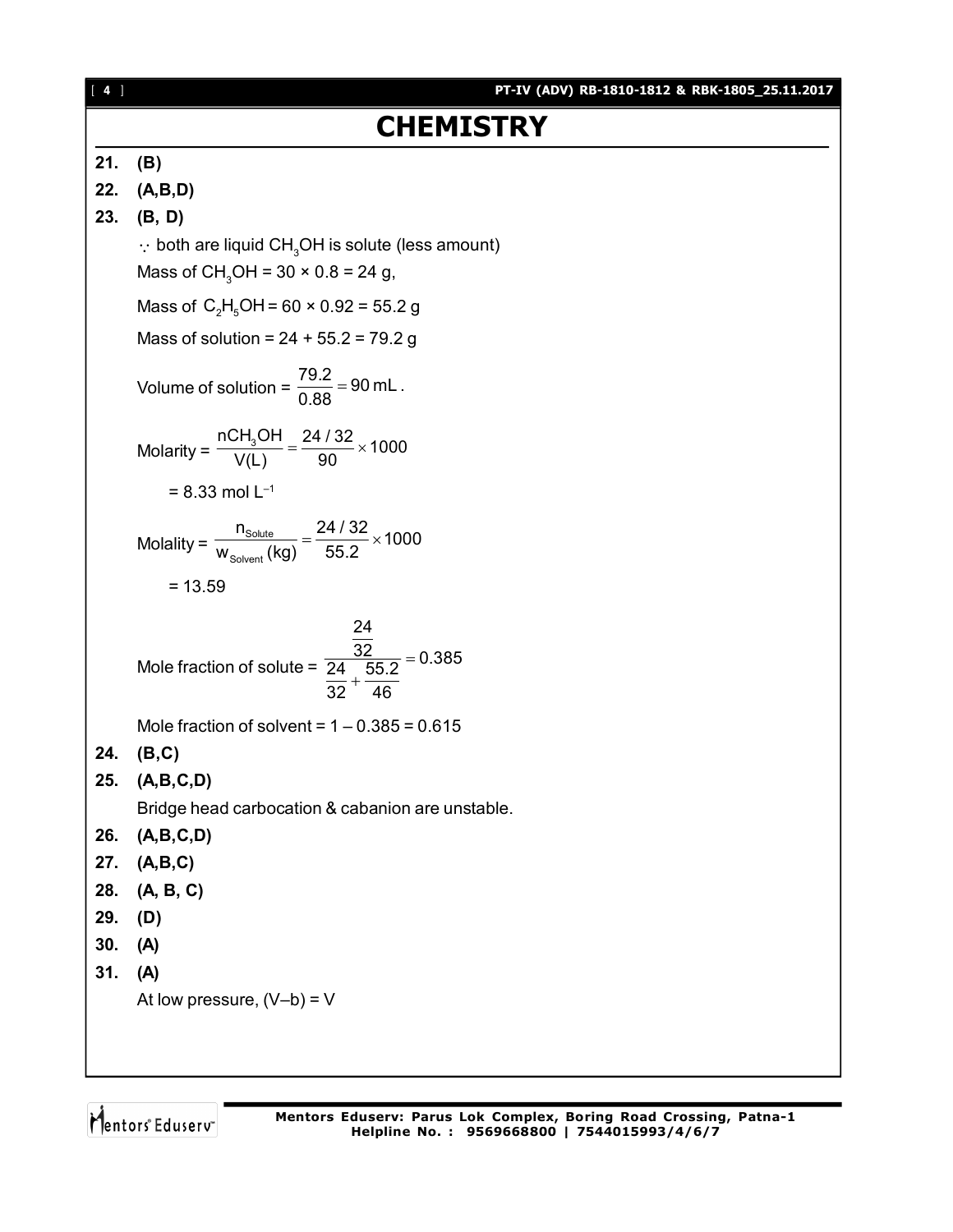# **CHEMISTRY**

## **21. (B)**

**22. (A,B,D)**

## **23. (B, D)**

 $\therefore$  both are liquid CH<sub>3</sub>OH is solute (less amount) Mass of CH<sub>3</sub>OH =  $30 \times 0.8 = 24$  g, Mass of  $C_2H_5OH = 60 \times 0.92 = 55.2 g$ Mass of solution =  $24 + 55.2 = 79.2$  g Volume of solution =  $\frac{79.2}{0.88}$  = 90 mL. 0.88  $=$ Molarity =  $\frac{nCH_3OH}{(11)} = \frac{24/32}{00} \times 1000$ V(L) 90  $=\frac{2!}{22} \times 1$  $= 8.33$  mol  $L^{-1}$ Molality =  $\frac{W_{\text{Solute}}}{W_{\text{Solvent}}}$  $\frac{n_{\text{Solute}}}{n} = \frac{24/32}{55.8} \times 1000$  $w_{\rm solvent}$  (kg)  $-55.2$  $=\frac{217.02}{55.0} \times 1$  $= 13.59$ Mole fraction of solute = 24  $\frac{32}{24}$  55.2 = 0.385 32 46  $=$  $^{+}$ Mole fraction of solvent =  $1 - 0.385 = 0.615$ **24. (B,C) 25. (A,B,C,D)** Bridge head carbocation & cabanion are unstable. **26. (A,B,C,D) 27. (A,B,C) 28. (A, B, C) 29. (D) 30. (A)**

**31. (A)**

At low pressure,  $(V-b) = V$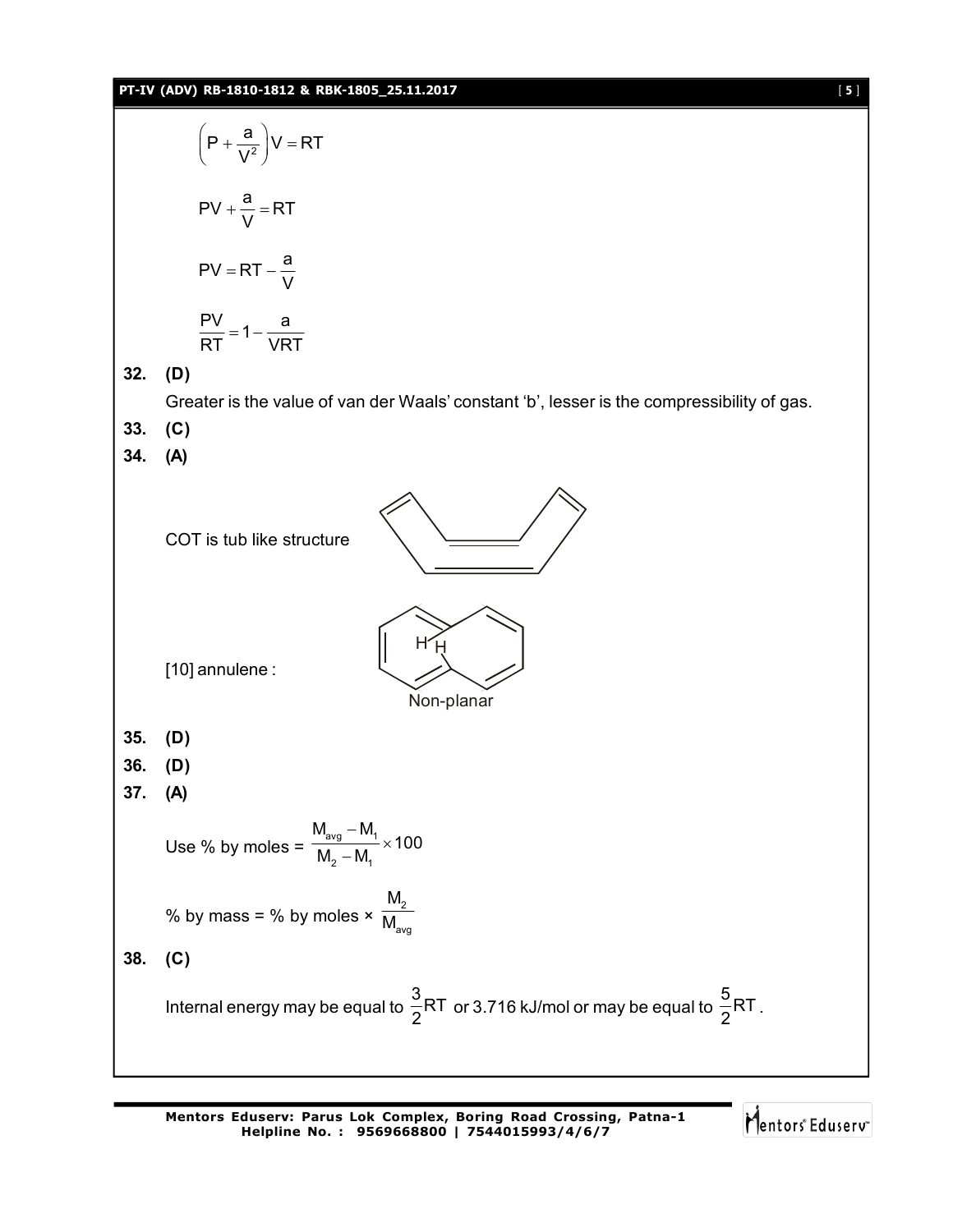## **PT-IV (ADV) RB-1810-1812 & RBK-1805\_25.11.2017** [ **5** ]

$$
(P + \frac{a}{V^{2}})V = RT
$$
  
\nPV +  $\frac{a}{V} = RT$   
\nPV = RT -  $\frac{a}{V}$   
\n $\frac{PV}{RT} = 1 - \frac{a}{VRT}$   
\n32. (D)  
\nGreatest is the value of van der Waals' constant 'b', lesser is the compressibility of gas.  
\n33. (C)  
\n34. (A)  
\nCOT is tub like structure  
\n[10] annulene:  
\n $\frac{H_{\text{IV}}}{H_{\text{IV}}}$   
\n[10] annulene:  
\nNon-planar  
\n35. (D)  
\n36. (D)  
\n37. (A)  
\nUse % by moles =  $\frac{M_{\text{IV}} - M_1}{M_2 - M_1} \times 100$   
\n% by mass = % by moles  $\times \frac{M_2}{M_{\text{IV}}}$   
\n38. (C)  
\nInternal energy may be equal to  $\frac{3}{2}RT$  or 3.716 kJ/mol or may be equal to  $\frac{5}{2}RT$ .

Mentors<sup>e</sup> Eduserv<sup>-</sup>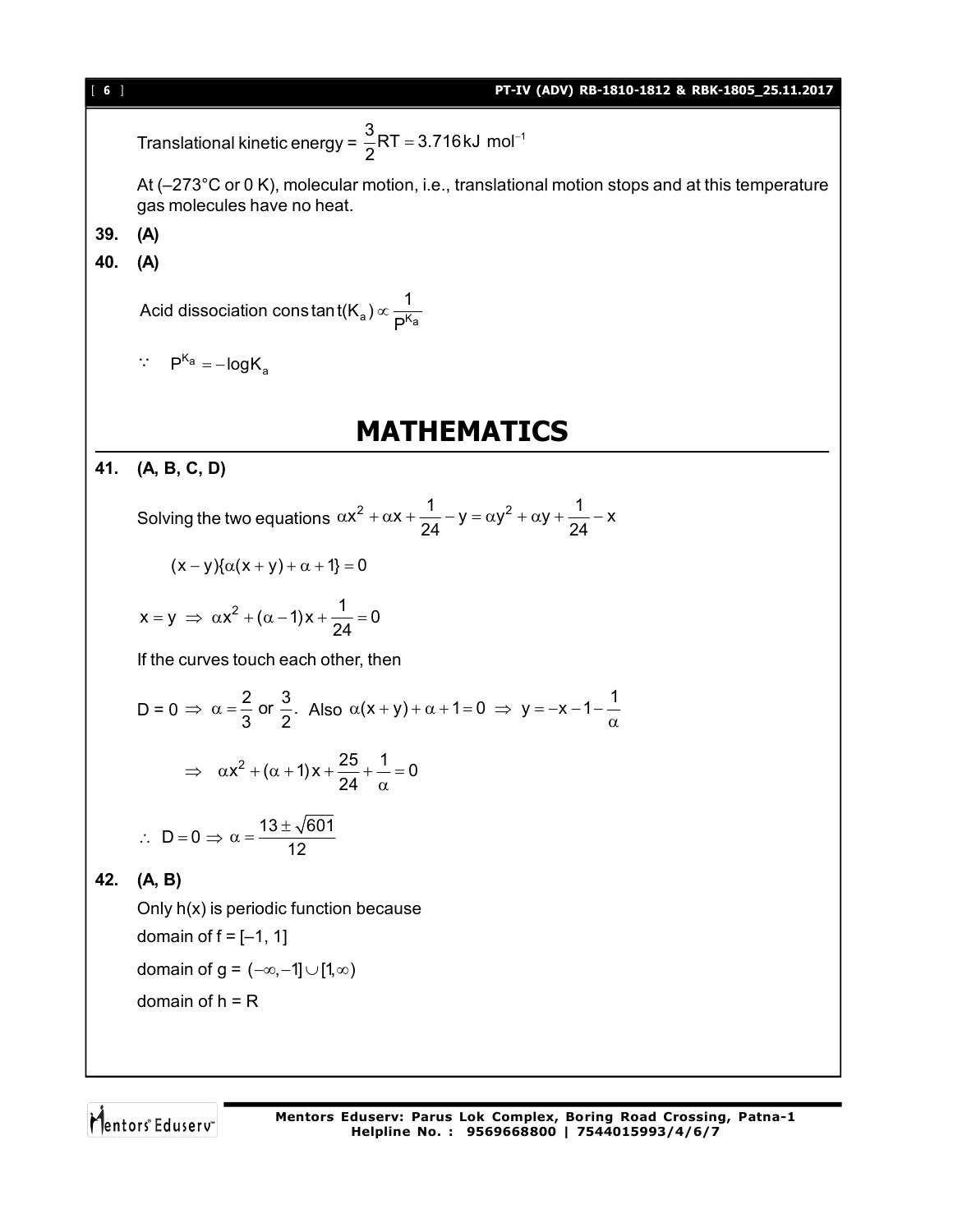Translational kinetic energy =  $\frac{3}{2}$ RT = 3.716kJ mol<sup>-1</sup> 2  $= 3.716 kJ$  mol<sup>-</sup>

At (–273°C or 0 K), molecular motion, i.e., translational motion stops and at this temperature gas molecules have no heat.

## **39. (A)**

**40. (A)**

 $a \wedge \sim bK_a$ Acid dissociation cons $\tan t(K_a) \propto \frac{1}{-K}$ P  $\infty$ 

 $\therefore$  P<sup>K</sup>a = -logK<sub>a</sub>

## **MATHEMATICS**

## **41. (A, B, C, D)**

Solving the two equations  $\alpha x^2 + \alpha x + \frac{1}{24} - y = \alpha y^2 + \alpha y + \frac{1}{24} - x$ 24 24  $\alpha x^2 + \alpha x + \frac{1}{24} - y = \alpha y^2 + \alpha y + \frac{1}{24} - y$ 

$$
(x-y)\{\alpha(x+y)+\alpha+1\}=0
$$

 $x = y \implies \alpha x^2 + (\alpha - 1)x + \frac{1}{24} = 0$ 24  $= y \Rightarrow \alpha x^2 + (\alpha - 1)x + \frac{1}{\alpha - 1} = 0$ 

If the curves touch each other, then

$$
D = 0 \implies \alpha = \frac{2}{3} \text{ or } \frac{3}{2}. \text{ Also } \alpha(x+y) + \alpha + 1 = 0 \implies y = -x - 1 - \frac{1}{\alpha}
$$

$$
\implies \alpha x^2 + (\alpha + 1)x + \frac{25}{24} + \frac{1}{\alpha} = 0
$$

$$
\therefore \ \ D=0 \ \Longrightarrow \ \alpha=\frac{13\pm\sqrt{601}}{12}
$$

## **42. (A, B)**

Only h(x) is periodic function because domain of  $f = [-1, 1]$ domain of  $g = (-\infty, -1] \cup [1, \infty)$ domain of  $h = R$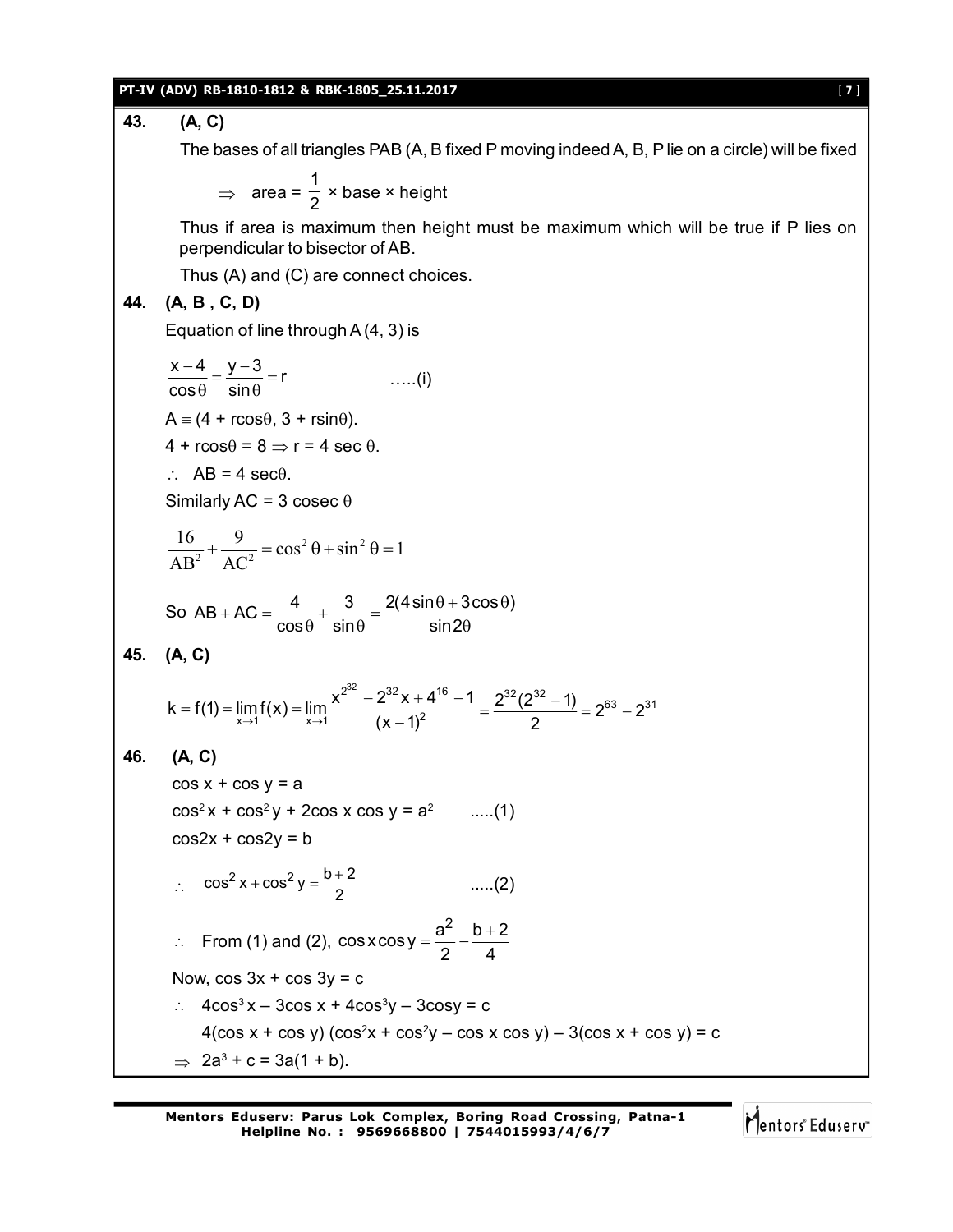**PT-IV (ADV) RB-1810-1812 & RBK-1805\_25.11.2017** [ **7** ] **43. (A, C)** The bases of all triangles PAB (A, B fixed P moving indeed A, B, P lie on a circle) will be fixed  $\Rightarrow$  area = 1  $\frac{1}{2}$  × base × height Thus if area is maximum then height must be maximum which will be true if P lies on perpendicular to bisector of AB. Thus (A) and (C) are connect choices. **44. (A, B , C, D)** Equation of line through A (4, 3) is  $\frac{x-4}{2} = \frac{y-3}{1} = r$  $cos \theta$  sin  $\frac{-4}{\sin \theta} = \frac{y-3}{\sin \theta} = r$  .....(i)  $A = (4 + r\cos\theta, 3 + r\sin\theta).$  $4 + r \cos \theta = 8 \implies r = 4 \sec \theta$ .  $AB = 4 \text{ sec}\theta$ . Similarly AC = 3 cosec  $\theta$  $2 \Omega + \sin^2$  $\frac{16}{10^2} + \frac{9}{4C^2} = \cos^2 \theta + \sin^2 \theta = 1$  $AB^2$  AC  $+\frac{9}{4\Omega^2}$  = cos<sup>2</sup>  $\theta$  + sin<sup>2</sup>  $\theta$  = 1 So  $AB + AC = \frac{4}{a} + \frac{3}{b} = \frac{2(4\sin\theta + 3\cos\theta)}{b}$  $\cos\theta$  sin $\theta$  sin2  $+ AC = \frac{4}{1} + \frac{3}{1} = \frac{2(4 \sin \theta + 3 \cos \theta)}{1}$  $\theta$  sin $\theta$  sin2 $\theta$ **45. (A, C)**  $2^{32}$   $2^{32}$   $1^{16}$  $k = f(1) = \lim_{x \to 1} f(x) = \lim_{x \to 1} \frac{x^{2^{2}} - 2^{32}x + 4^{16} - 1}{(x - 1)^2}$  $\rightarrow$ 1  $'$   $x \rightarrow$ 1  $(x-1)$ = f(1) =  $\lim_{x \to 0} f(x) = \lim_{x \to 0} \frac{x^{2-2} - 2^{32}x + 4^{16} - 1}{x^2}$  $\frac{12(12-1)}{(1-1)^2} = \frac{2^{32}(2^{32}-1)}{2} = 2^{63} - 2^{31}$ 2  $=\frac{2^{32}(2^{32}-1)}{2}=2^{63}-2$ **46. (A, C)**  $cos x + cos y = a$  $cos^2 x + cos^2 y + 2cos x cos y = a^2$  .....(1)  $cos2x + cos2y = b$  $\therefore \cos^2 x + \cos^2 y = \frac{b+2}{2}$  $+ \cos^2 y = \frac{b+2}{2}$  .....(2)  $\therefore$  From (1) and (2),  $\cos x \cos y = \frac{a^2}{2} - \frac{b+2}{4}$ 2 4  $=\frac{a^2}{2}-\frac{b+1}{2}$ Now,  $cos 3x + cos 3y = c$  $\therefore$  4cos<sup>3</sup>x – 3cos x + 4cos<sup>3</sup>y – 3cosy = c  $4(\cos x + \cos y) (\cos^2 x + \cos^2 y - \cos x \cos y) - 3(\cos x + \cos y) = c$  $\Rightarrow$  2a<sup>3</sup> + c = 3a(1 + b).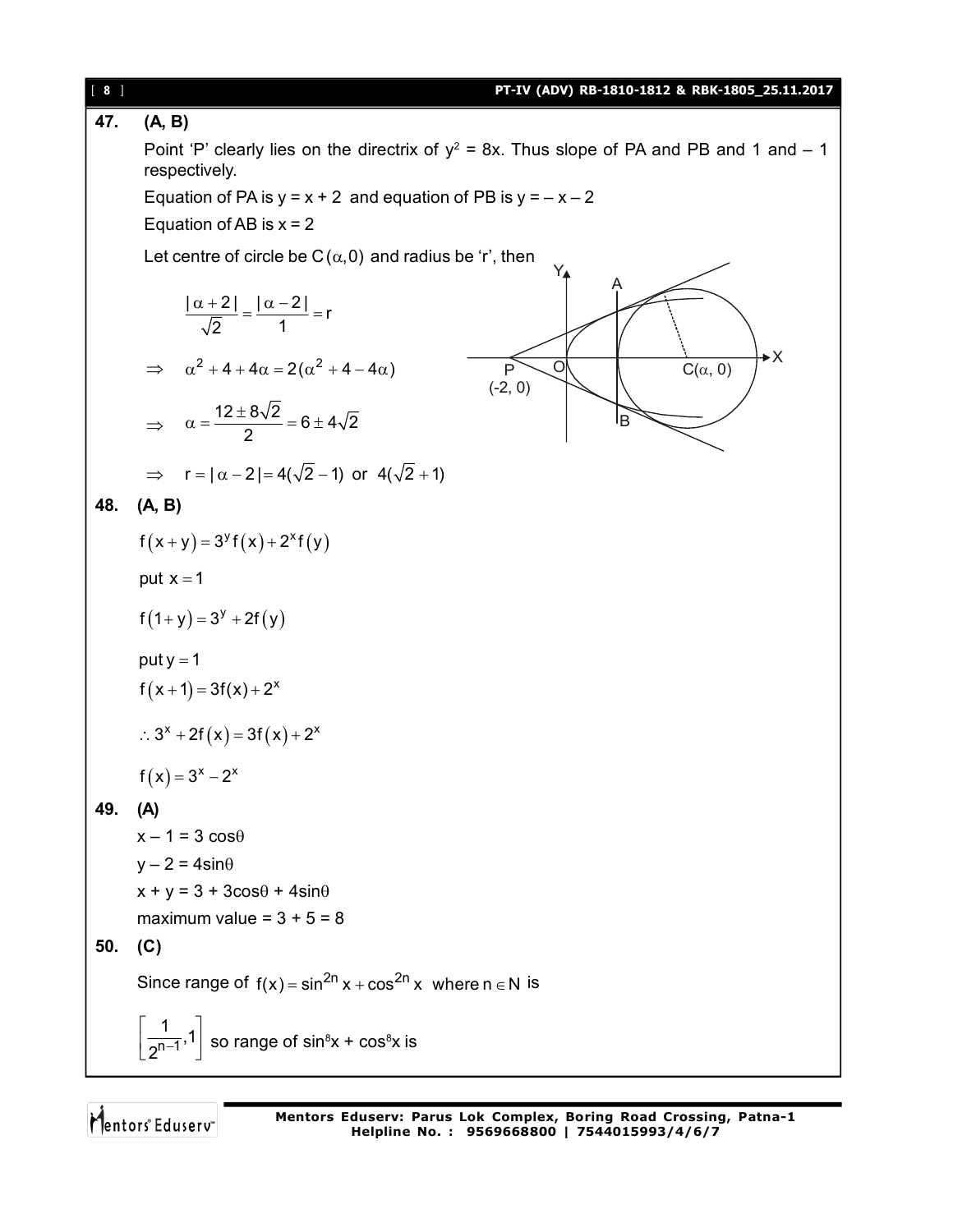| 8 ] | PT-IV (ADV) RB-1810-1812 & RBK-1805_25.11.2017                                                                             |
|-----|----------------------------------------------------------------------------------------------------------------------------|
| 47. | (A, B)                                                                                                                     |
|     | Point 'P' clearly lies on the directrix of $y^2 = 8x$ . Thus slope of PA and PB and 1 and $-1$<br>respectively.            |
|     | Equation of PA is $y = x + 2$ and equation of PB is $y = -x - 2$                                                           |
|     | Equation of AB is $x = 2$                                                                                                  |
|     | Let centre of circle be $C(\alpha,0)$ and radius be 'r', then                                                              |
|     | Y4<br>Ą<br>$\frac{ \alpha+2 }{\sqrt{2}} = \frac{ \alpha-2 }{1} = r$                                                        |
|     | ►X<br>$\Rightarrow \alpha^2 + 4 + 4\alpha = 2(\alpha^2 + 4 - 4\alpha)$<br>$\mathsf{P}$<br>O<br>$C(\alpha, 0)$<br>$(-2, 0)$ |
|     | $\Rightarrow \quad \alpha = \frac{12 \pm 8\sqrt{2}}{2} = 6 \pm 4\sqrt{2}$<br>ΙB                                            |
|     | $\Rightarrow$ r = $ \alpha - 2  = 4(\sqrt{2} - 1)$ or $4(\sqrt{2} + 1)$                                                    |
| 48. | (A, B)                                                                                                                     |
|     | $f(x+y) = 3^{y} f(x) + 2^{x} f(y)$                                                                                         |
|     | put $x = 1$                                                                                                                |
|     | $f(1+y) = 3^y + 2f(y)$                                                                                                     |
|     | put $y = 1$                                                                                                                |
|     | $f(x+1) = 3f(x) + 2^{x}$                                                                                                   |
|     | ∴ $3^{x}$ + 2f (x) = 3f (x) + 2 <sup>x</sup>                                                                               |
|     | $f(x) = 3^x - 2^x$                                                                                                         |
| 49. | (A)                                                                                                                        |
|     | $x - 1 = 3 \cos \theta$                                                                                                    |
|     | $y - 2 = 4\sin\theta$                                                                                                      |
|     | $x + y = 3 + 3\cos\theta + 4\sin\theta$                                                                                    |
|     | maximum value = $3 + 5 = 8$                                                                                                |
| 50. | (C)                                                                                                                        |
|     | Since range of $f(x) = \sin^{2n} x + \cos^{2n} x$ where $n \in N$ is                                                       |
|     | $\left \frac{1}{2^{n-1}}1\right $ so range of sin <sup>8</sup> x + cos <sup>8</sup> x is                                   |

Mentors<sup>®</sup> Eduserv<sup>®</sup>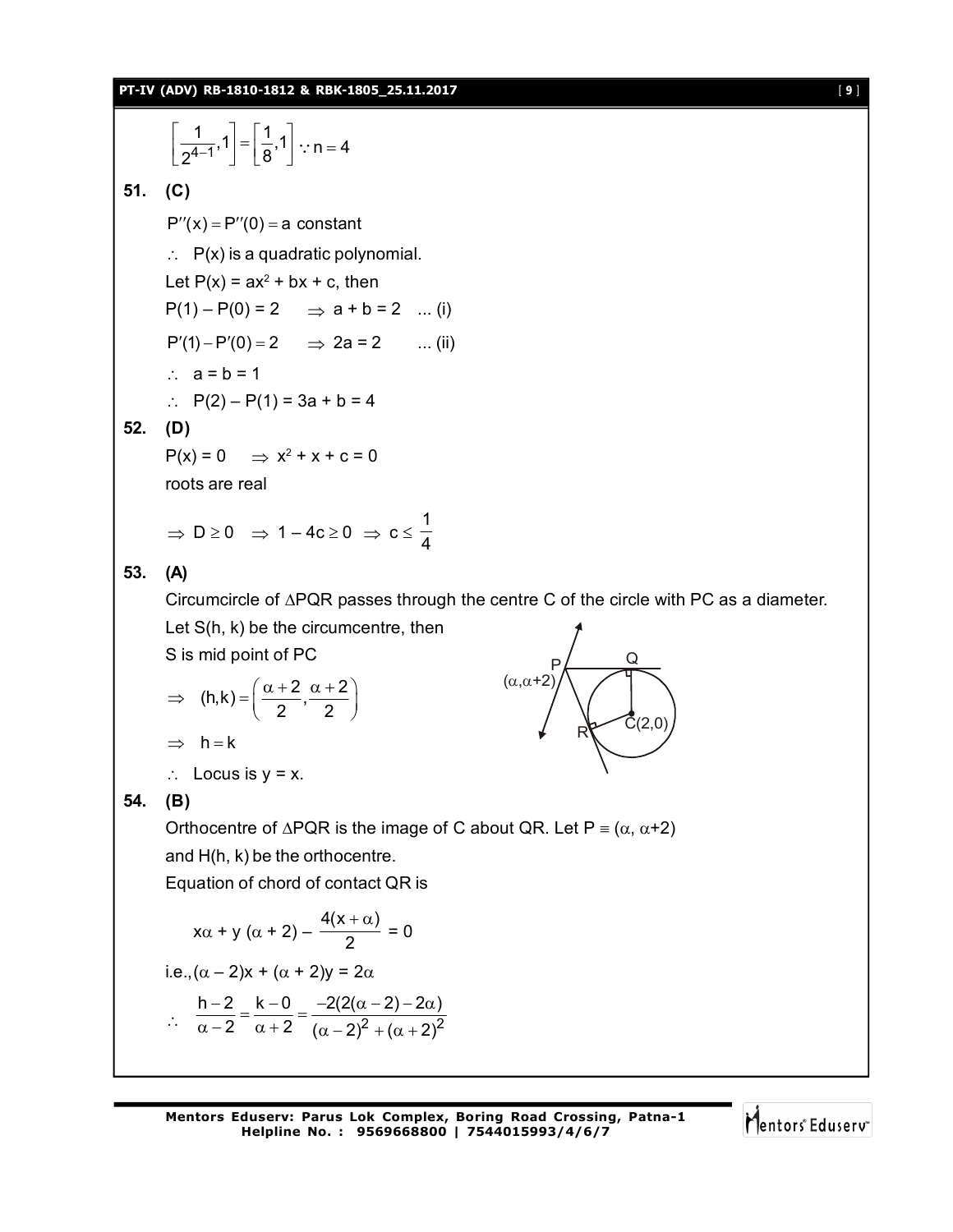$$
\left[\frac{1}{2^{4-1}},1\right]=\left[\frac{1}{8},1\right]\because n=4
$$

**51. (C)**

 $P''(x) = P''(0) = a constant$  $\therefore$  P(x) is a quadratic polynomial. Let  $P(x) = ax^2 + bx + c$ , then  $P(1) - P(0) = 2 \implies a + b = 2$  ... (i)  $P'(1) - P'(0) = 2 \implies 2a = 2$  ... (ii)  $\therefore$  a = b = 1

$$
\therefore P(2) - P(1) = 3a + b = 4
$$

**52. (D)**

$$
P(x) = 0 \Rightarrow x^2 + x + c = 0
$$

roots are real

$$
\Rightarrow D \geq 0 \Rightarrow 1 - 4c \geq 0 \Rightarrow c \leq \frac{1}{4}
$$

## **53. (A)**

Circumcircle of  $\triangle PQR$  passes through the centre C of the circle with PC as a diameter.

Let  $S(h, k)$  be the circumcentre, then S is mid point of PC

$$
\Rightarrow (h,k) = \left(\frac{\alpha+2}{2}, \frac{\alpha+2}{2}\right)
$$
  

$$
\Rightarrow h = k
$$

$$
\rightarrow \quad \mathsf{H} = \mathsf{K}
$$

 $\therefore$  Locus is  $y = x$ .



## **54. (B)**

Orthocentre of  $\triangle PQR$  is the image of C about QR. Let  $P = (\alpha, \alpha + 2)$ 

and H(h, k) be the orthocentre.

Equation of chord of contact QR is

$$
x\alpha + y(\alpha + 2) - \frac{4(x + \alpha)}{2} = 0
$$

i.e.,  $(\alpha - 2)x + (\alpha + 2)y = 2\alpha$ 

$$
\therefore \quad \frac{h-2}{\alpha-2} = \frac{k-0}{\alpha+2} = \frac{-2(2(\alpha-2)-2\alpha)}{(\alpha-2)^2 + (\alpha+2)^2}
$$

$$
\bigvee_{i=1}^n \text{Centors}^i_{\mathsf{E}} \mathsf{G} \mathsf{u} \mathsf{serv}^i
$$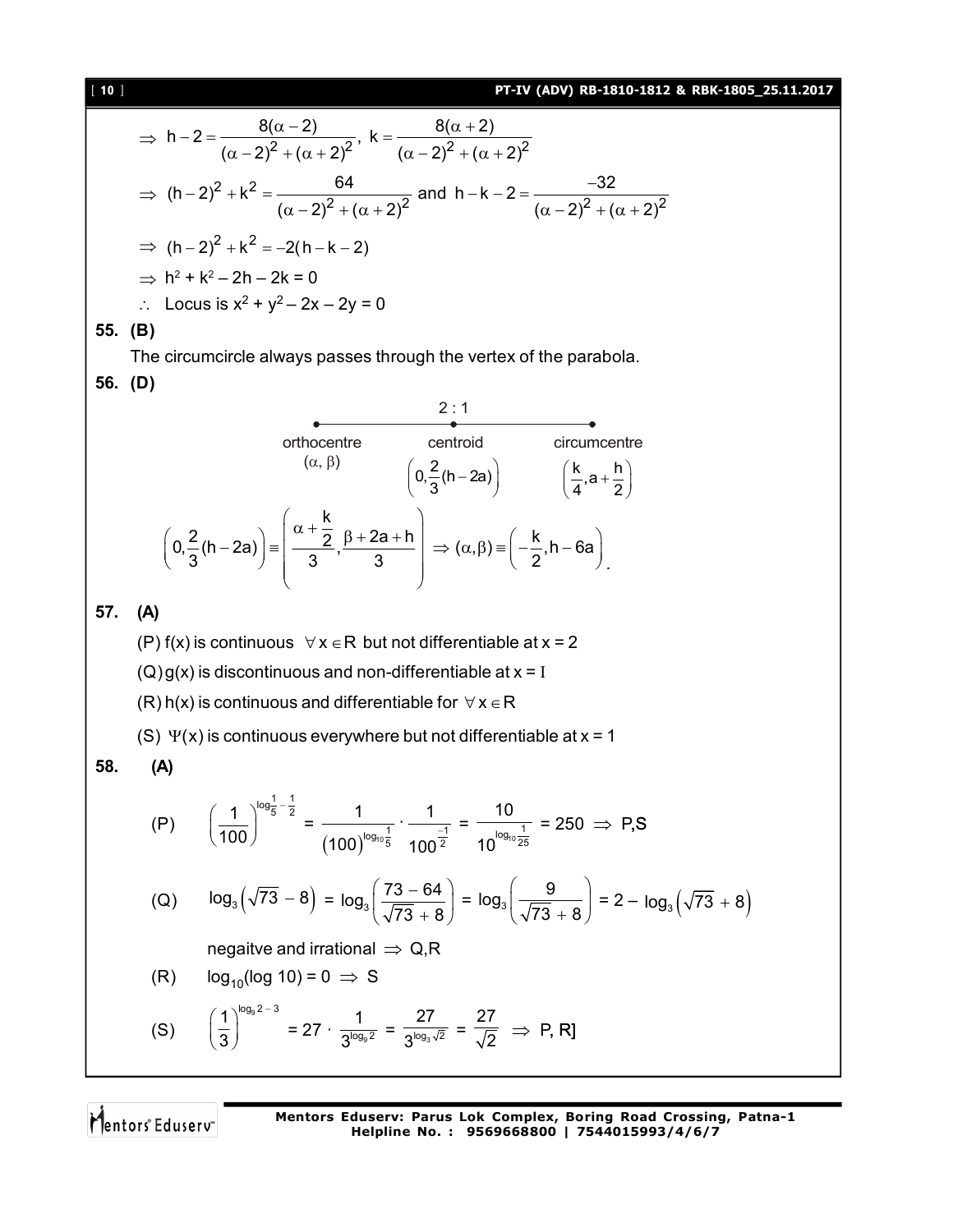## [ **10** ] **PT-IV (ADV) RB-1810-1812 & RBK-1805\_25.11.2017**

 2 2 2 2 8( 2) 8( 2) h 2 , k ( 2) ( 2) ( 2) ( 2) 2 2 2 2 2 2 64 32 (h 2) k and h k 2 ( 2) ( 2) ( 2) ( 2) 2 2 (h 2) k 2(h k 2) h 2 + k<sup>2</sup> – 2h – 2k = 0 Locus is x 2 + y<sup>2</sup>– 2x – 2y = 0 **55. (B)** The circumcircle always passes through the vertex of the parabola. **56. (D)** 2 : 1 orthocentre ( ) centroid 2 0, (h 2a) 3 circumcentre k h ,a 4 2 k 2 2a h k <sup>2</sup> 0, (h 2a) , ( , ) ,h 6a 3 3 3 2 . **57. (A)** (P) f(x) is continuous x R but not differentiable at x = 2 (Q)g(x) is discontinuous and non-differentiable at x = I (R) h(x) is continuous and differentiable for x R (S) (x) is continuous everywhere but not differentiable at x = 1 **58. (A)** (P) 1 1 log <sup>1</sup> 5 2 100 <sup>=</sup> 10 1 1 log 5 2 1 1 · 100 100 = 10 1 log 25 10 10 = 250 P,S (Q) log 73 8 <sup>3</sup> = <sup>3</sup> 73 64 log 73 8 = <sup>3</sup> 9 log 73 8 = 2 – log 73 8 <sup>3</sup> negaitve and irrational Q,R (R) log10(log 10) = 0 S (S) 9 log 2 3 1 3 = 27 · 9 log 2 1 3 = 3 log 2 27 3 = 27 2 P, R]

Mentors<sup>e</sup> Eduserv<sup>-</sup>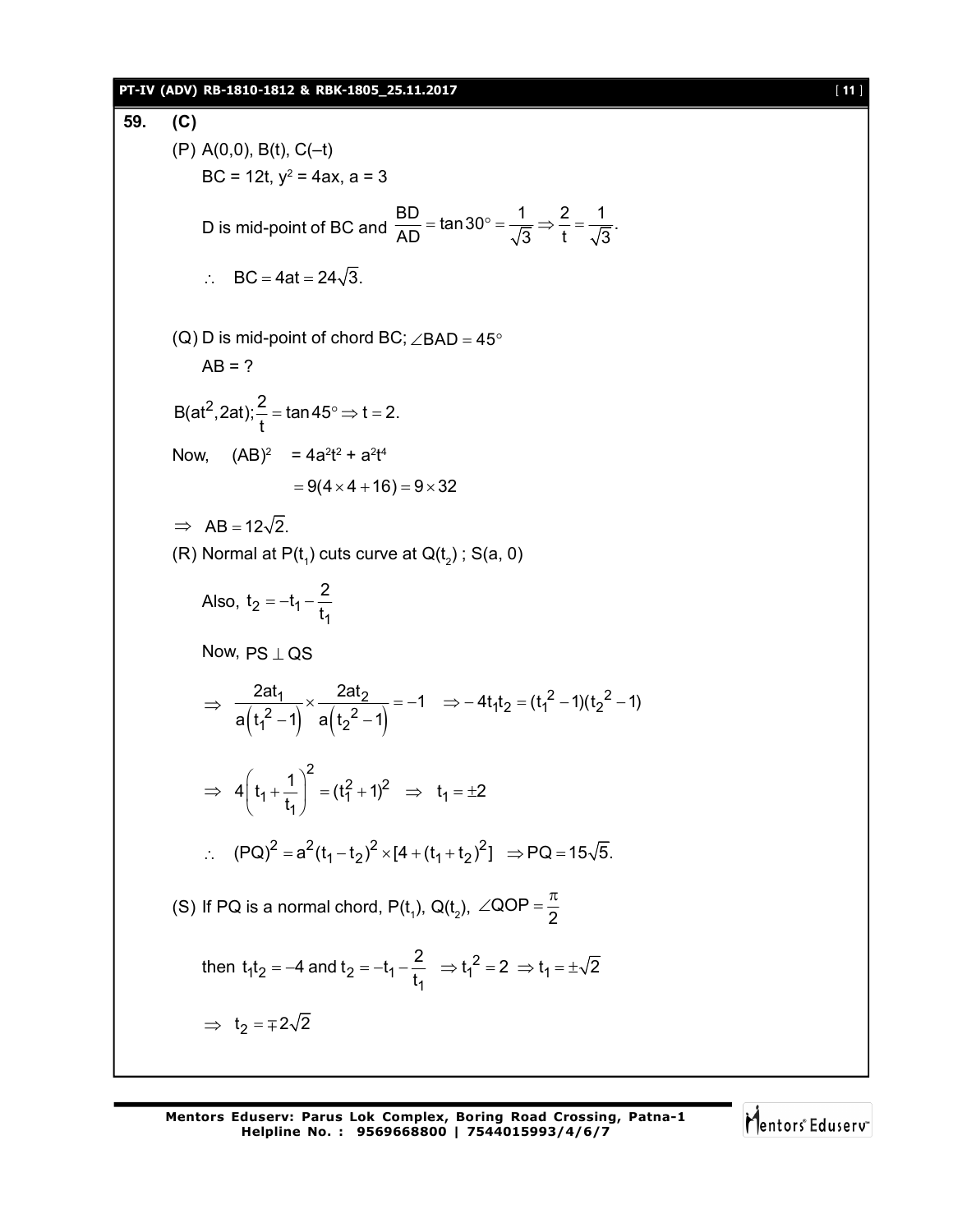## **PT-IV (ADV) RB-1810-1812 & RBK-1805\_25.11.2017** [ **11** ]

59. (C)  
\n(P) A(0,0), B(t), C(-t)  
\nBC = 12t, y<sup>2</sup> = 4ax, a = 3  
\nD is mid-point of BC and 
$$
\frac{BD}{AD} = \tan 30^\circ = \frac{1}{\sqrt{3}} \Rightarrow \frac{2}{t} = \frac{1}{\sqrt{3}}
$$
.  
\n∴ BC = 4at = 24√3.  
\n(Q) D is mid-point of chord BC; ∠BAD = 45°  
\nAB = ?  
\nB(at<sup>2</sup>, 2at);  $\frac{2}{t} = \tan 45^\circ \Rightarrow t = 2$ .  
\nNow, (AB)<sup>2</sup> = 4a<sup>2</sup>t<sup>2</sup> + a<sup>2</sup>t<sup>4</sup>  
\n= 9(4 × 4 + 16) = 9 × 32  
\n⇒ AB = 12√2.  
\n(R) Normal at P(t<sub>1</sub>) cuts curve at Q(t<sub>2</sub>): S(a, 0)  
\nAlso, t<sub>2</sub> = -t<sub>1</sub> -  $\frac{2}{t_1}$   
\nNow, PS ⊥ QS  
\n⇒  $\frac{2at_1}{a(t_1^2 - 1)} \times \frac{2at_2}{a(t_2^2 - 1)} = -1 \Rightarrow -4t_1t_2 = (t_1^2 - 1)(t_2^2 - 1)$   
\n⇒  $4\left(t_1 + \frac{1}{t_1}\right)^2 = (t_1^2 + 1)^2 \Rightarrow t_1 = \pm 2$   
\n∴ (PQ)<sup>2</sup> = a<sup>2</sup>(t<sub>1</sub> - t<sub>2</sub>)<sup>2</sup> × [4 + (t<sub>1</sub> + t<sub>2</sub>)<sup>2</sup>] ⇒ PQ = 15√5.  
\n(S) If PQ is a normal chord, P(t<sub>1</sub>), Q(t<sub>2</sub>), ∠QOP =  $\frac{\pi}{2}$   
\nthen t<sub>1</sub>t<sub>2</sub> = -4 and t<sub>2</sub> = -t<sub>1</sub> -  $\frac{2}{t_1} \Rightarrow t_1^2 = 2 \Rightarrow t_1 = \pm \sqrt{2}$   
\n⇒ t<sub>2</sub> = ±2√2

Mentors<sup>e</sup> Eduserv<sup>-</sup>